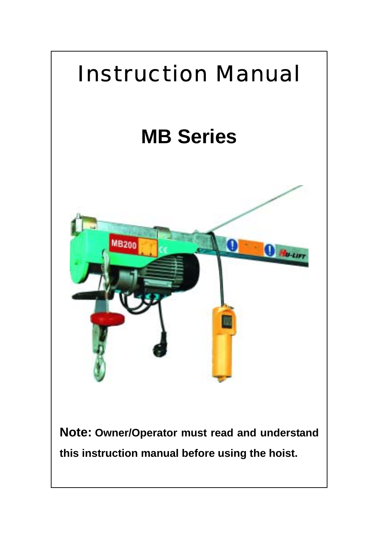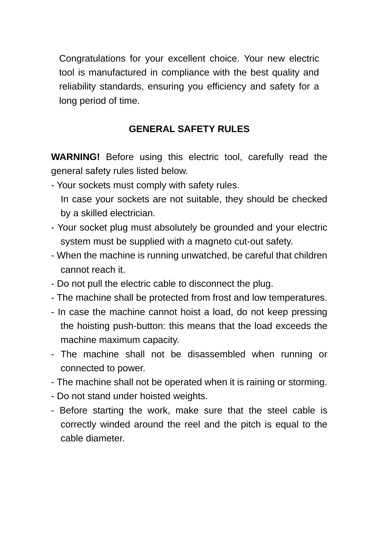Congratulations for your excellent choice. Your new electric tool is manufactured in compliance with the best quality and reliability standards, ensuring you efficiency and safety for a long period of time.

## **GENERAL SAFETY RULES**

**WARNING!** Before using this electric tool, carefully read the general safety rules listed below.

- Your sockets must comply with safety rules.

 In case your sockets are not suitable, they should be checked by a skilled electrician.

- Your socket plug must absolutely be grounded and your electric system must be supplied with a magneto cut-out safety.
- When the machine is running unwatched, be careful that children cannot reach it.
- Do not pull the electric cable to disconnect the plug.
- The machine shall be protected from frost and low temperatures.
- In case the machine cannot hoist a load, do not keep pressing the hoisting push-button: this means that the load exceeds the machine maximum capacity.
- The machine shall not be disassembled when running or connected to power.
- The machine shall not be operated when it is raining or storming.
- Do not stand under hoisted weights.
- Before starting the work, make sure that the steel cable is correctly winded around the reel and the pitch is equal to the cable diameter.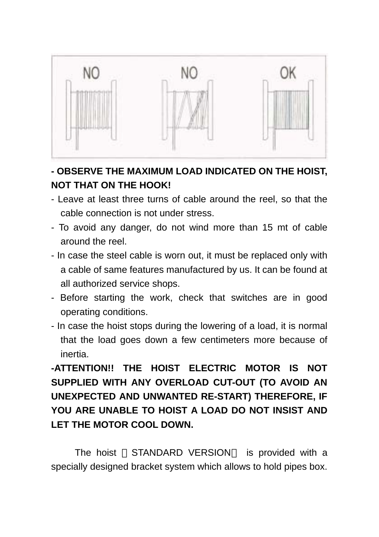

## **- OBSERVE THE MAXIMUM LOAD INDICATED ON THE HOIST, NOT THAT ON THE HOOK!**

- Leave at least three turns of cable around the reel, so that the cable connection is not under stress.
- To avoid any danger, do not wind more than 15 mt of cable around the reel.
- In case the steel cable is worn out, it must be replaced only with a cable of same features manufactured by us. It can be found at all authorized service shops.
- Before starting the work, check that switches are in good operating conditions.
- In case the hoist stops during the lowering of a load, it is normal that the load goes down a few centimeters more because of inertia.

**-ATTENTION!! THE HOIST ELECTRIC MOTOR IS NOT SUPPLIED WITH ANY OVERLOAD CUT-OUT (TO AVOID AN UNEXPECTED AND UNWANTED RE-START) THEREFORE, IF YOU ARE UNABLE TO HOIST A LOAD DO NOT INSIST AND LET THE MOTOR COOL DOWN.** 

The hoist STANDARD VERSION is provided with a specially designed bracket system which allows to hold pipes box.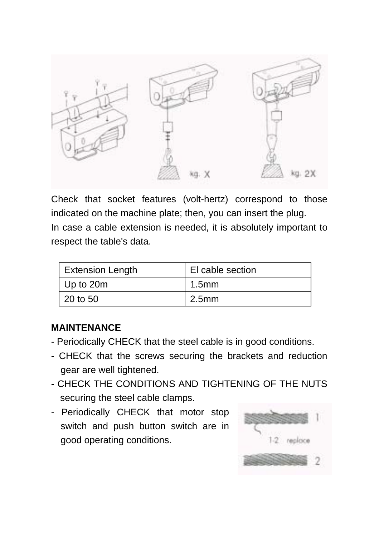

Check that socket features (volt-hertz) correspond to those indicated on the machine plate; then, you can insert the plug. In case a cable extension is needed, it is absolutely important to respect the table's data.

| <b>Extension Length</b> | El cable section  |  |  |  |
|-------------------------|-------------------|--|--|--|
| $ $ Up to 20m           | 1.5 <sub>mm</sub> |  |  |  |
| $\vert$ 20 to 50        | 2.5 <sub>mm</sub> |  |  |  |

## **MAINTENANCE**

- Periodically CHECK that the steel cable is in good conditions.
- CHECK that the screws securing the brackets and reduction gear are well tightened.
- CHECK THE CONDITIONS AND TIGHTENING OF THE NUTS securing the steel cable clamps.
- Periodically CHECK that motor stop switch and push button switch are in good operating conditions.

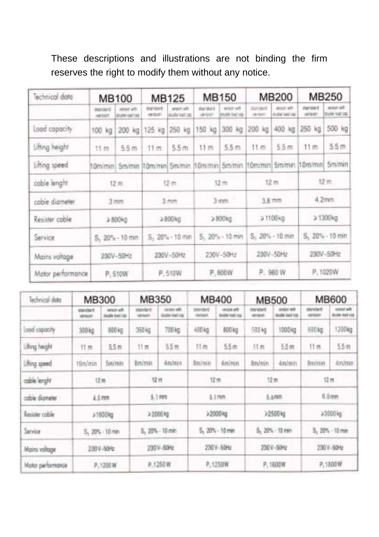These descriptions and illustrations are not binding the firm reserves the right to modify them without any notice.

| Technical data       | <b>MB100</b>        |                         | MB125                |                                               | MB150                |                                      | MB200                                              |             | MB250              |                            |
|----------------------|---------------------|-------------------------|----------------------|-----------------------------------------------|----------------------|--------------------------------------|----------------------------------------------------|-------------|--------------------|----------------------------|
|                      | Mandard<br>Herbicht | <b>SLOW GATION</b>      | standard<br>version: | <b>ANGER AVE</b><br><b>Anuthe inalt lists</b> | star/durd<br>version | MOVEMENT<br><b>NAME SINCT STREET</b> | ISI/GENT<br><b>Visit Nation</b>                    | 0.09.067.00 | nanciart<br>101507 | resonal!<br>31092.5387.146 |
| Load copacity        | 100 kg              | 200 kg                  | 125 kg               | $250$ $kg$                                    | 150 kg               | 300 kg                               | 200 kg                                             | 400 kg      | 250 kg             | 500 kg                     |
| <b>Ufting height</b> | 11m                 | 5.6 m                   | 11 m.                | 5.5 m                                         | 11 <sub>m</sub>      | 5.5 m                                | 11 <sub>m</sub>                                    | 5.5m        | 11 世               | 5.5 <sub>m</sub>           |
| Lifting speed        |                     | 10mmin 5mmin            | [10minin] 5minin     |                                               |                      |                                      | [10m/min] Sm/min [10m/min] Sm/min [10m/min] Sm/min |             |                    |                            |
| coble lenght         | 12 <sub>m</sub>     |                         | 12 m                 |                                               | 12 m                 |                                      | 12 m                                               |             | 12 <sub>m</sub>    |                            |
| cobie diameter       | 3 mm                |                         | 3 <sub>mm</sub>      |                                               | 3 mm                 |                                      | 3.8 mm                                             |             | 4.2mm              |                            |
| Resister coble       |                     | $2.800%$ 0<br>$>800$ Mg |                      | > 800kg                                       |                      | $>1100$ kg                           |                                                    | $>1300$ kg  |                    |                            |
| Service              | S, 20% - 10 min     |                         | S. 20% - 10 min      |                                               | S. 20% - 10 min      |                                      | S. 20% - 10 min                                    |             | S. 20% - 10 min    |                            |
| Mains voltage        | 230V-50Hz           |                         | 230V-50Hz            |                                               | 230V-50Hz            |                                      | 230V-50Hz                                          |             | 230V-50Hz          |                            |
| Mator performance    | P. 510W             |                         | P.510W               |                                               | P. 600W              |                                      | P. 980 W                                           |             | P. 1020W           |                            |

| Technical data    | MB300                    |                                        | MB350           |                                       | MB400            |                                     | <b>MB500</b>    |                                            | MB600                                     |                                             |  |
|-------------------|--------------------------|----------------------------------------|-----------------|---------------------------------------|------------------|-------------------------------------|-----------------|--------------------------------------------|-------------------------------------------|---------------------------------------------|--|
|                   | standard<br><b>HERSH</b> | <b>Hornstown</b><br><b>NAME RAFTER</b> | <b>VALUATE</b>  | services with<br><b>Built hat you</b> | <b>GETSGEFT</b>  | ancien arts<br><b>EndRe Kad Ing</b> | sensor.         | <b>HEAT HOT!</b><br><b>media</b> hast reg. | <b>ABANDART</b><br><b><i>VRITAGET</i></b> | anno with<br><b><i>Bullet Half Hitl</i></b> |  |
| lood capacity     | 300 kg                   | 600 kg                                 | 350 kg          | 700 kg                                | 400 kg           | 800 kg                              | 500 kg          | 1000 <sub>NG</sub>                         | 600 kg                                    | 1200kg                                      |  |
| Libing height     | 11m                      | 55m                                    | 11 m            | 15m                                   | 11m              | 55m                                 | 11m             | 5.5m                                       | 11m                                       | 55m                                         |  |
| Lifing speed      | 10m/min                  | <b>Savinn</b>                          | <b>Bm/min</b>   | 4mmin                                 | <b>Bruinin</b>   | 4m/mm                               | <b>Britimin</b> | <b>4m/mm</b>                               | Bristman                                  | 4 n/min                                     |  |
| coble lenght      | 12m                      |                                        | 提出              |                                       | 12 m             |                                     | 控制              |                                            | 垃页                                        |                                             |  |
| cobie digmeter    | 4.5 mm                   |                                        |                 | 5.1 mm                                |                  | 5.1 mm                              |                 | 5.6mm                                      |                                           | 6.0mm                                       |  |
| Resister coble    |                          | $>1600$ kg                             | 2000年           |                                       | >2000kg          |                                     | >2500kg         |                                            | >3000kg                                   |                                             |  |
| Service           | 5, 20% - 10 min          |                                        | 5, 20% - 10 min |                                       | S. 20% - 10 min. |                                     | S. 20% - 10 min |                                            | S. 20% - 10 min.                          |                                             |  |
| Mains voltage     | 230V-50Hz                |                                        | 230V-50Hz       |                                       | 230 V-50Hz       |                                     | 230V-50Hz       |                                            | 230V-50Hz                                 |                                             |  |
| Motor performance | P.1200W                  |                                        | P.1250W         |                                       | P. 1250W         |                                     | P. 1600W        |                                            | P.1800W                                   |                                             |  |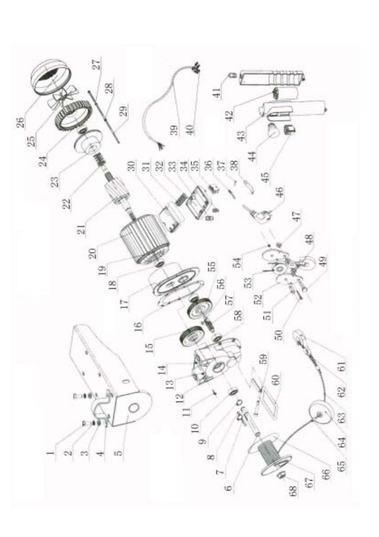